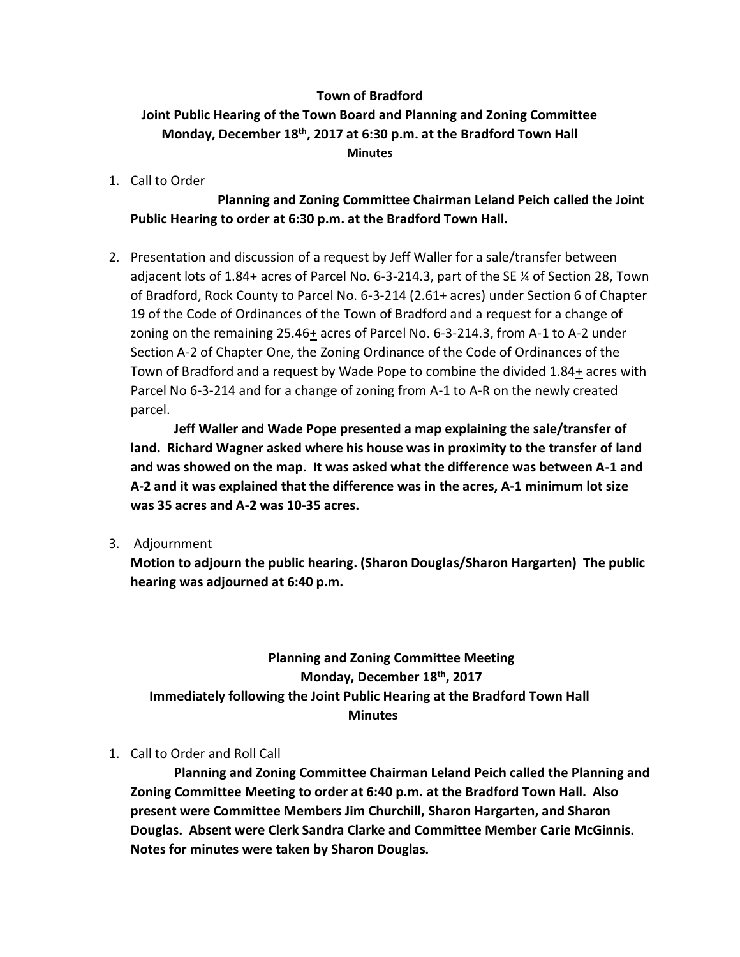#### **Town of Bradford**

## **Joint Public Hearing of the Town Board and Planning and Zoning Committee Monday, December 18th, 2017 at 6:30 p.m. at the Bradford Town Hall Minutes**

1. Call to Order

### **Planning and Zoning Committee Chairman Leland Peich called the Joint Public Hearing to order at 6:30 p.m. at the Bradford Town Hall.**

2. Presentation and discussion of a request by Jeff Waller for a sale/transfer between adjacent lots of 1.84+ acres of Parcel No. 6-3-214.3, part of the SE ¼ of Section 28, Town of Bradford, Rock County to Parcel No. 6-3-214 (2.61+ acres) under Section 6 of Chapter 19 of the Code of Ordinances of the Town of Bradford and a request for a change of zoning on the remaining 25.46+ acres of Parcel No. 6-3-214.3, from A-1 to A-2 under Section A-2 of Chapter One, the Zoning Ordinance of the Code of Ordinances of the Town of Bradford and a request by Wade Pope to combine the divided 1.84+ acres with Parcel No 6-3-214 and for a change of zoning from A-1 to A-R on the newly created parcel.

**Jeff Waller and Wade Pope presented a map explaining the sale/transfer of land. Richard Wagner asked where his house was in proximity to the transfer of land and was showed on the map. It was asked what the difference was between A-1 and A-2 and it was explained that the difference was in the acres, A-1 minimum lot size was 35 acres and A-2 was 10-35 acres.**

3. Adjournment

**Motion to adjourn the public hearing. (Sharon Douglas/Sharon Hargarten) The public hearing was adjourned at 6:40 p.m.**

# **Planning and Zoning Committee Meeting Monday, December 18th, 2017 Immediately following the Joint Public Hearing at the Bradford Town Hall Minutes**

### 1. Call to Order and Roll Call

**Planning and Zoning Committee Chairman Leland Peich called the Planning and Zoning Committee Meeting to order at 6:40 p.m. at the Bradford Town Hall. Also present were Committee Members Jim Churchill, Sharon Hargarten, and Sharon Douglas. Absent were Clerk Sandra Clarke and Committee Member Carie McGinnis. Notes for minutes were taken by Sharon Douglas.**